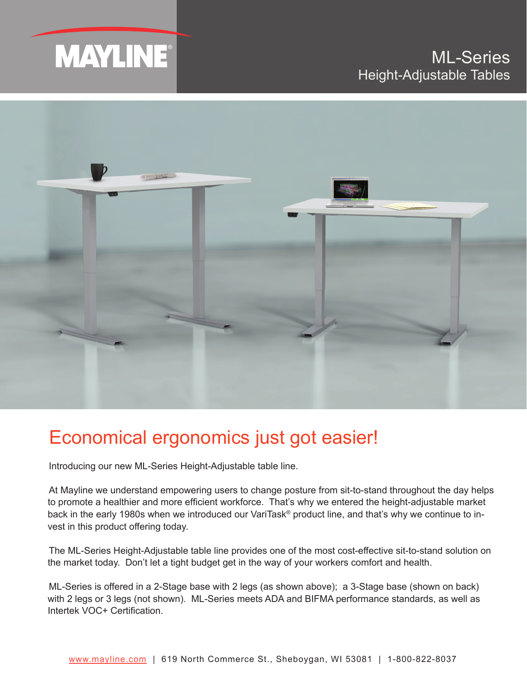



## Economical ergonomics just got easier!

Introducing our new ML-Series Height-Adjustable table line.

At Mayline we understand empowering users to change posture from sit-to-stand throughout the day helps to promote a healthier and more efficient workforce. That's why we entered the height-adjustable market back in the early 1980s when we introduced our VariTask® product line, and that's why we continue to invest in this product offering today.

The ML-Series Height-Adjustable table line provides one of the most cost-effective sit-to-stand solution on the market today. Don't let a tight budget get in the way of your workers comfort and health.

ML-Series is offered in a 2-Stage base with 2 legs (as shown above); a 3-Stage base (shown on back) with 2 legs or 3 legs (not shown). ML-Series meets ADA and BIFMA performance standards, as well as Intertek VOC+ Certification.